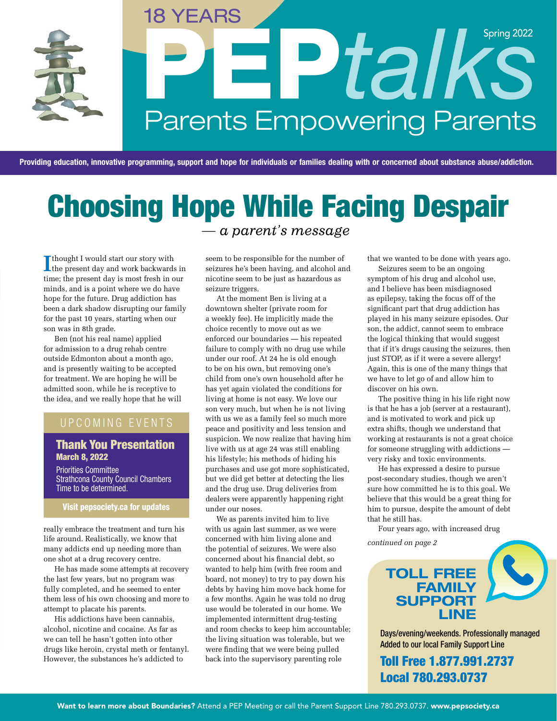

Providing education, innovative programming, support and hope for individuals or families dealing with or concerned about substance abuse/addiction.

# *— a parent's message* Choosing Hope While Facing Despair

**I** thought I would start our story with<br>the present day and work backwards in thought I would start our story with time; the present day is most fresh in our minds, and is a point where we do have hope for the future. Drug addiction has been a dark shadow disrupting our family for the past 10 years, starting when our son was in 8th grade.

Ben (not his real name) applied for admission to a drug rehab centre outside Edmonton about a month ago, and is presently waiting to be accepted for treatment. We are hoping he will be admitted soon, while he is receptive to the idea, and we really hope that he will

## UPCOMING EVENTS

#### Thank You Presentation March 8, 2022

Priorities Committee Strathcona County Council Chambers Time to be determined.

#### [Visit pepsociety.ca for u](https://pepsociety.ca/)pdates

really embrace the treatment and turn his life around. Realistically, we know that many addicts end up needing more than one shot at a drug recovery centre.

He has made some attempts at recovery the last few years, but no program was fully completed, and he seemed to enter them less of his own choosing and more to attempt to placate his parents.

His addictions have been cannabis, alcohol, nicotine and cocaine. As far as we can tell he hasn't gotten into other drugs like heroin, crystal meth or fentanyl. However, the substances he's addicted to

seem to be responsible for the number of seizures he's been having, and alcohol and nicotine seem to be just as hazardous as seizure triggers.

At the moment Ben is living at a downtown shelter (private room for a weekly fee). He implicitly made the choice recently to move out as we enforced our boundaries — his repeated failure to comply with no drug use while under our roof. At 24 he is old enough to be on his own, but removing one's child from one's own household after he has yet again violated the conditions for living at home is not easy. We love our son very much, but when he is not living with us we as a family feel so much more peace and positivity and less tension and suspicion. We now realize that having him live with us at age 24 was still enabling his lifestyle; his methods of hiding his purchases and use got more sophisticated, but we did get better at detecting the lies and the drug use. Drug deliveries from dealers were apparently happening right under our noses.

We as parents invited him to live with us again last summer, as we were concerned with him living alone and the potential of seizures. We were also concerned about his financial debt, so wanted to help him (with free room and board, not money) to try to pay down his debts by having him move back home for a few months. Again he was told no drug use would be tolerated in our home. We implemented intermittent drug-testing and room checks to keep him accountable; the living situation was tolerable, but we were finding that we were being pulled back into the supervisory parenting role

that we wanted to be done with years ago.

Seizures seem to be an ongoing symptom of his drug and alcohol use, and I believe has been misdiagnosed as epilepsy, taking the focus off of the significant part that drug addiction has played in his many seizure episodes. Our son, the addict, cannot seem to embrace the logical thinking that would suggest that if it's drugs causing the seizures, then just STOP, as if it were a severe allergy! Again, this is one of the many things that we have to let go of and allow him to discover on his own.

The positive thing in his life right now is that he has a job (server at a restaurant), and is motivated to work and pick up extra shifts, though we understand that working at restaurants is not a great choice for someone struggling with addictions very risky and toxic environments.

He has expressed a desire to pursue post-secondary studies, though we aren't sure how committed he is to this goal. We believe that this would be a great thing for him to pursue, despite the amount of debt that he still has.

Four years ago, with increased drug *continued on page 2*



Days/evening/weekends. Professionally managed Added to our local Family Support Line

Toll Free 1.877.991.2737 Local 780.293.0737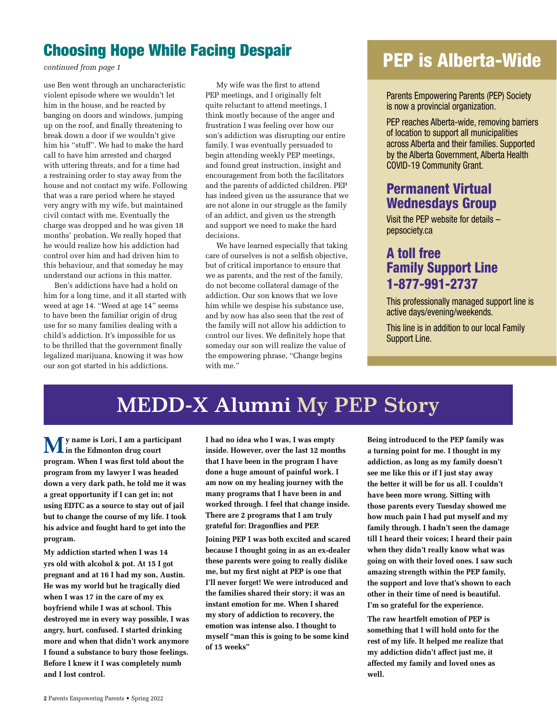# Choosing Hope While Facing Despair

*continued from page 1*

use Ben went through an uncharacteristic violent episode where we wouldn't let him in the house, and he reacted by banging on doors and windows, jumping up on the roof, and finally threatening to break down a door if we wouldn't give him his "stuff". We had to make the hard call to have him arrested and charged with uttering threats, and for a time had a restraining order to stay away from the house and not contact my wife. Following that was a rare period where he stayed very angry with my wife, but maintained civil contact with me. Eventually the charge was dropped and he was given 18 months' probation. We really hoped that he would realize how his addiction had control over him and had driven him to this behaviour, and that someday he may understand our actions in this matter.

Ben's addictions have had a hold on him for a long time, and it all started with weed at age 14. "Weed at age 14" seems to have been the familiar origin of drug use for so many families dealing with a child's addiction. It's impossible for us to be thrilled that the government finally legalized marijuana, knowing it was how our son got started in his addictions.

My wife was the first to attend PEP meetings, and I originally felt quite reluctant to attend meetings, I think mostly because of the anger and frustration I was feeling over how our son's addiction was disrupting our entire family. I was eventually persuaded to begin attending weekly PEP meetings, and found great instruction, insight and encouragement from both the facilitators and the parents of addicted children. PEP has indeed given us the assurance that we are not alone in our struggle as the family of an addict, and given us the strength and support we need to make the hard decisions.

We have learned especially that taking care of ourselves is not a selfish objective, but of critical importance to ensure that we as parents, and the rest of the family, do not become collateral damage of the addiction. Our son knows that we love him while we despise his substance use, and by now has also seen that the rest of the family will not allow his addiction to control our lives. We definitely hope that someday our son will realize the value of the empowering phrase, "Change begins with me."

# PEP is Alberta-Wide

Parents Empowering Parents (PEP) Society is now a provincial organization.

PEP reaches Alberta-wide, removing barriers of location to support all municipalities across Alberta and their families. Supported by the Alberta Government, Alberta Health COVID-19 Community Grant.

# Permanent Virtual Wednesdays Group

[Visit the PEP website for deta](https://pepsociety.ca/)ils – pepsociety.ca

# A toll free Family Support Line 1-877-991-2737

This professionally managed support line is active days/evening/weekends.

This line is in addition to our local Family Support Line.

# **MEDD-X Alumni My PEP Story**

**My name is Lori, I am a participant in the Edmonton drug court program. When I was first told about the program from my lawyer I was headed down a very dark path, he told me it was a great opportunity if I can get in; not using EDTC as a source to stay out of jail but to change the course of my life. I took his advice and fought hard to get into the program.** 

**My addiction started when I was 14 yrs old with alcohol & pot. At 15 I got pregnant and at 16 I had my son, Austin. He was my world but he tragically died when I was 17 in the care of my ex boyfriend while I was at school. This destroyed me in every way possible, I was angry, hurt, confused. I started drinking more and when that didn't work anymore I found a substance to bury those feelings. Before I knew it I was completely numb and I lost control.**

**I had no idea who I was, I was empty inside. However, over the last 12 months that I have been in the program I have done a huge amount of painful work. I am now on my healing journey with the many programs that I have been in and worked through. I feel that change inside. There are 2 programs that I am truly grateful for: Dragonflies and PEP.**

**Joining PEP I was both excited and scared because I thought going in as an ex-dealer these parents were going to really dislike me, but my first night at PEP is one that I'll never forget! We were introduced and the families shared their story; it was an instant emotion for me. When I shared my story of addiction to recovery, the emotion was intense also. I thought to myself "man this is going to be some kind of 15 weeks"** 

**Being introduced to the PEP family was a turning point for me. I thought in my addiction, as long as my family doesn't see me like this or if I just stay away the better it will be for us all. I couldn't have been more wrong. Sitting with those parents every Tuesday showed me how much pain I had put myself and my family through. I hadn't seen the damage till I heard their voices; I heard their pain when they didn't really know what was going on with their loved ones. I saw such amazing strength within the PEP family, the support and love that's shown to each other in their time of need is beautiful. I'm so grateful for the experience.** 

**The raw heartfelt emotion of PEP is something that I will hold onto for the rest of my life. It helped me realize that my addiction didn't affect just me, it affected my family and loved ones as well.**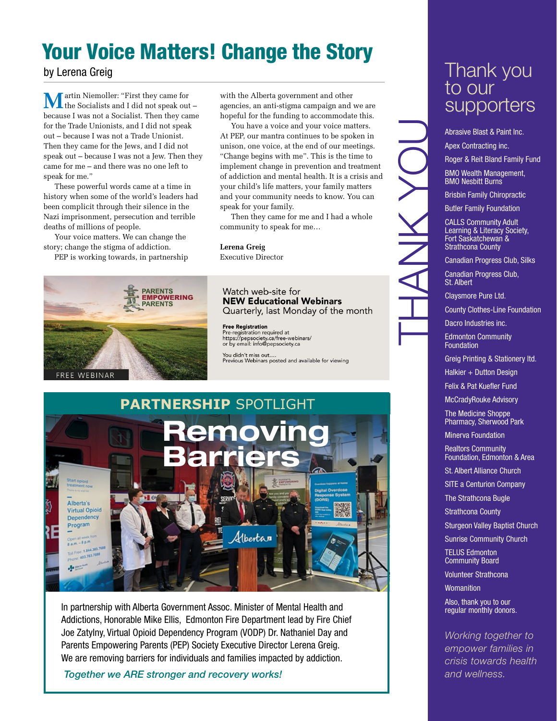# Your Voice Matters! Change the Story

# by Lerena Greig

**M**artin Niemoller: "First they came for the Socialists and I did not speak out – because I was not a Socialist. Then they came for the Trade Unionists, and I did not speak out – because I was not a Trade Unionist. Then they came for the Jews, and I did not speak out – because I was not a Jew. Then they came for me – and there was no one left to speak for me."

These powerful words came at a time in history when some of the world's leaders had been complicit through their silence in the Nazi imprisonment, persecution and terrible deaths of millions of people.

Your voice matters. We can change the story; change the stigma of addiction.

PEP is working towards, in partnership



with the Alberta government and other agencies, an anti-stigma campaign and we are hopeful for the funding to accommodate this.

You have a voice and your voice matters. At PEP, our mantra continues to be spoken in unison, one voice, at the end of our meetings. "Change begins with me". This is the time to implement change in prevention and treatment of addiction and mental health. It is a crisis and your child's life matters, your family matters and your community needs to know. You can speak for your family.

Then they came for me and I had a whole community to speak for me…

#### **Lerena Greig**

Executive Director

Watch web-site for **NEW Educational Webinars** Quarterly, last Monday of the month

Free Registration<br>Pre-registration required at<br>https://pepsociety.ca/free-webinars/<br>or by email: info@pepsociety.ca

You didn't miss out....<br>Previous Webinars posted and available for viewing



In partnership with Alberta Government Assoc. Minister of Mental Health and Addictions, Honorable Mike Ellis, Edmonton Fire Department lead by Fire Chief Joe Zatylny, Virtual Opioid Dependency Program (VODP) Dr. Nathaniel Day and Parents Empowering Parents (PEP) Society Executive Director Lerena Greig. We are removing barriers for individuals and families impacted by addiction.

 *Together we ARE stronger and recovery works!* 

# Thank you to our supporters

Abrasive Blast & Paint Inc.

Apex Contracting inc.

Roger & Reit Bland Family Fund

BMO Wealth Management, BMO Nesbitt Burns

Brisbin Family Chiropractic

Butler Family Foundation

THANK YOU

CALLS Community Adult Learning & Literacy Society, Fort Saskatchewan & Strathcona County

Canadian Progress Club, Silks

Canadian Progress Club, St. Albert

Claysmore Pure Ltd.

County Clothes-Line Foundation

Dacro Industries inc.

Edmonton Community Foundation

Greig Printing & Stationery ltd.

Halkier + Dutton Design

Felix & Pat Kuefler Fund

McCradyRouke Advisory

The Medicine Shoppe Pharmacy, Sherwood Park

Minerva Foundation

Realtors Community Foundation, Edmonton & Area

St. Albert Alliance Church

SITE a Centurion Company

The Strathcona Bugle

Strathcona County

**Sturgeon Valley Baptist Church** 

Sunrise Community Church

TELUS Edmonton Community Board

Volunteer Strathcona

**Womanition** 

Also, thank you to our regular monthly donors.

*Working together to empower families in crisis towards health and wellness.*